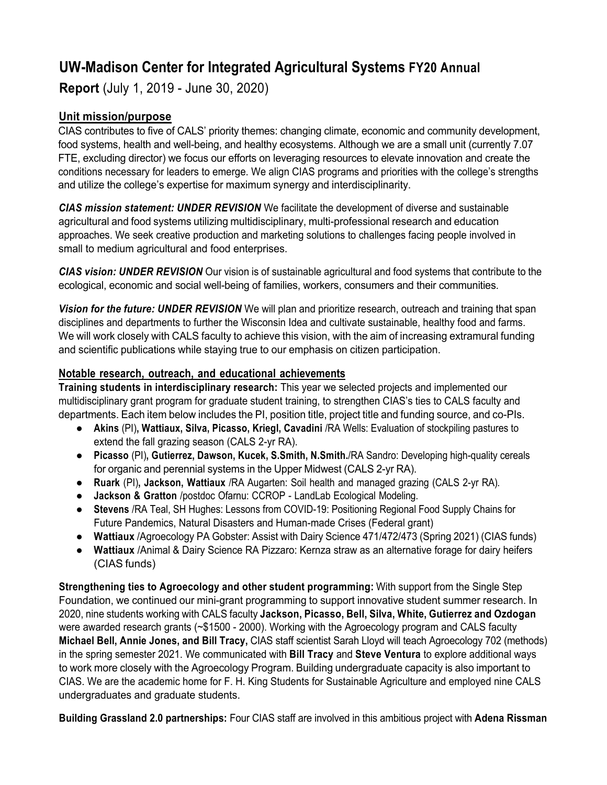# **UW-Madison Center for Integrated Agricultural Systems FY20 Annual**

**Report** (July 1, 2019 - June 30, 2020)

## **Unit mission/purpose**

CIAS contributes to five of CALS' priority themes: changing climate, economic and community development, food systems, health and well-being, and healthy ecosystems. Although we are a small unit (currently 7.07 FTE, excluding director) we focus our efforts on leveraging resources to elevate innovation and create the conditions necessary for leaders to emerge. We align CIAS programs and priorities with the college's strengths and utilize the college's expertise for maximum synergy and interdisciplinarity.

*CIAS mission statement: UNDER REVISION* We facilitate the development of diverse and sustainable agricultural and food systems utilizing multidisciplinary, multi-professional research and education approaches. We seek creative production and marketing solutions to challenges facing people involved in small to medium agricultural and food enterprises.

*CIAS vision: UNDER REVISION* Our vision is of sustainable agricultural and food systems that contribute to the ecological, economic and social well-being of families, workers, consumers and their communities.

*Vision for the future: UNDER REVISION* We will plan and prioritize research, outreach and training that span disciplines and departments to further the Wisconsin Idea and cultivate sustainable, healthy food and farms. We will work closely with CALS faculty to achieve this vision, with the aim of increasing extramural funding and scientific publications while staying true to our emphasis on citizen participation.

### **Notable research, outreach, and educational achievements**

**Training students in interdisciplinary research:** This year we selected projects and implemented our multidisciplinary grant program for graduate student training, to strengthen CIAS's ties to CALS faculty and departments. Each item below includes the PI, position title, project title and funding source, and co-PIs.

- **Akins** (PI)**, Wattiaux, Silva, Picasso, Kriegl, Cavadini** /RA Wells: Evaluation of stockpiling pastures to extend the fall grazing season (CALS 2-yr RA).
- **Picasso** (PI)**, Gutierrez, Dawson, Kucek, S.Smith, N.Smith.**/RA Sandro: Developing high-quality cereals for organic and perennial systems in the Upper Midwest (CALS 2-yr RA).
- **Ruark** (PI)**, Jackson, Wattiaux** /RA Augarten: Soil health and managed grazing (CALS 2-yr RA).
- **Jackson & Gratton** /postdoc Ofarnu: CCROP LandLab Ecological Modeling.
- **Stevens** /RA Teal, SH Hughes: Lessons from COVID-19: Positioning Regional Food Supply Chains for Future Pandemics, Natural Disasters and Human-made Crises (Federal grant)
- **Wattiaux** /Agroecology PA Gobster: Assist with Dairy Science 471/472/473 (Spring 2021) (CIAS funds)
- **Wattiaux** /Animal & Dairy Science RA Pizzaro: Kernza straw as an alternative forage for dairy heifers (CIAS funds)

**Strengthening ties to Agroecology and other student programming:** With support from the Single Step Foundation, we continued our mini-grant programming to support innovative student summer research. In 2020, nine students working with CALS faculty **Jackson, Picasso, Bell, Silva, White, Gutierrez and Ozdogan**  were awarded research grants (~\$1500 - 2000). Working with the Agroecology program and CALS faculty **Michael Bell, Annie Jones, and Bill Tracy,** CIAS staff scientist Sarah Lloyd will teach Agroecology 702 (methods) in the spring semester 2021. We communicated with **Bill Tracy** and **Steve Ventura** to explore additional ways to work more closely with the Agroecology Program. Building undergraduate capacity is also important to CIAS. We are the academic home for F. H. King Students for Sustainable Agriculture and employed nine CALS undergraduates and graduate students.

**Building Grassland 2.0 partnerships:** Four CIAS staff are involved in this ambitious project with **Adena Rissman**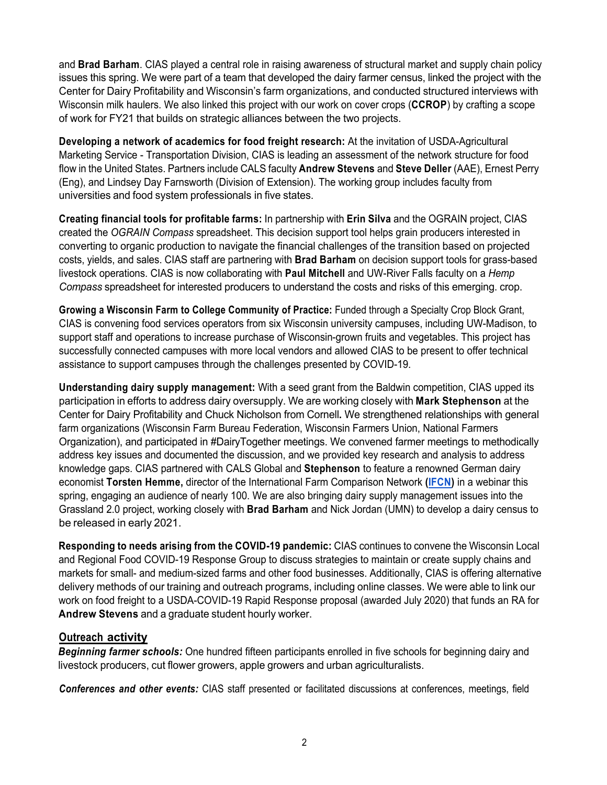and **Brad Barham**. CIAS played a central role in raising awareness of structural market and supply chain policy issues this spring. We were part of a team that developed the dairy farmer census, linked the project with the Center for Dairy Profitability and Wisconsin's farm organizations, and conducted structured interviews with Wisconsin milk haulers. We also linked this project with our work on cover crops (**CCROP**) by crafting a scope of work for FY21 that builds on strategic alliances between the two projects.

**Developing a network of academics for food freight research:** At the invitation of USDA-Agricultural Marketing Service - Transportation Division, CIAS is leading an assessment of the network structure for food flow in the United States. Partners include CALS faculty **Andrew Stevens** and **Steve Deller** (AAE), Ernest Perry (Eng), and Lindsey Day Farnsworth (Division of Extension). The working group includes faculty from universities and food system professionals in five states.

**Creating financial tools for profitable farms:** In partnership with **Erin Silva** and the OGRAIN project, CIAS created the *OGRAIN Compass* spreadsheet. This decision support tool helps grain producers interested in converting to organic production to navigate the financial challenges of the transition based on projected costs, yields, and sales. CIAS staff are partnering with **Brad Barham** on decision support tools for grass-based livestock operations. CIAS is now collaborating with **Paul Mitchell** and UW-River Falls faculty on a *Hemp Compass* spreadsheet for interested producers to understand the costs and risks of this emerging. crop.

**Growing a Wisconsin Farm to College Community of Practice:** Funded through a Specialty Crop Block Grant, CIAS is convening food services operators from six Wisconsin university campuses, including UW-Madison, to support staff and operations to increase purchase of Wisconsin-grown fruits and vegetables. This project has successfully connected campuses with more local vendors and allowed CIAS to be present to offer technical assistance to support campuses through the challenges presented by COVID-19.

**Understanding dairy supply management:** With a seed grant from the Baldwin competition, CIAS upped its participation in efforts to address dairy oversupply. We are working closely with **Mark Stephenson** at the Center for Dairy Profitability and Chuck Nicholson from Cornell**.** We strengthened relationships with general farm organizations (Wisconsin Farm Bureau Federation, Wisconsin Farmers Union, National Farmers Organization), and participated in #DairyTogether meetings. We convened farmer meetings to methodically address key issues and documented the discussion, and we provided key research and analysis to address knowledge gaps. CIAS partnered with CALS Global and **Stephenson** to feature a renowned German dairy economist **Torsten Hemme,** director of the International Farm Comparison Network **(IFCN)** in a webinar this spring, engaging an audience of nearly 100. We are also bringing dairy supply management issues into the Grassland 2.0 project, working closely with **Brad Barham** and Nick Jordan (UMN) to develop a dairy census to be released in early 2021.

**Responding to needs arising from the COVID-19 pandemic:** CIAS continues to convene the Wisconsin Local and Regional Food COVID-19 Response Group to discuss strategies to maintain or create supply chains and markets for small- and medium-sized farms and other food businesses. Additionally, CIAS is offering alternative delivery methods of our training and outreach programs, including online classes. We were able to link our work on food freight to a USDA-COVID-19 Rapid Response proposal (awarded July 2020) that funds an RA for **Andrew Stevens** and a graduate student hourly worker.

### **Outreach activity**

*Beginning farmer schools:* One hundred fifteen participants enrolled in five schools for beginning dairy and livestock producers, cut flower growers, apple growers and urban agriculturalists.

*Conferences and other events:* CIAS staff presented or facilitated discussions at conferences, meetings, field